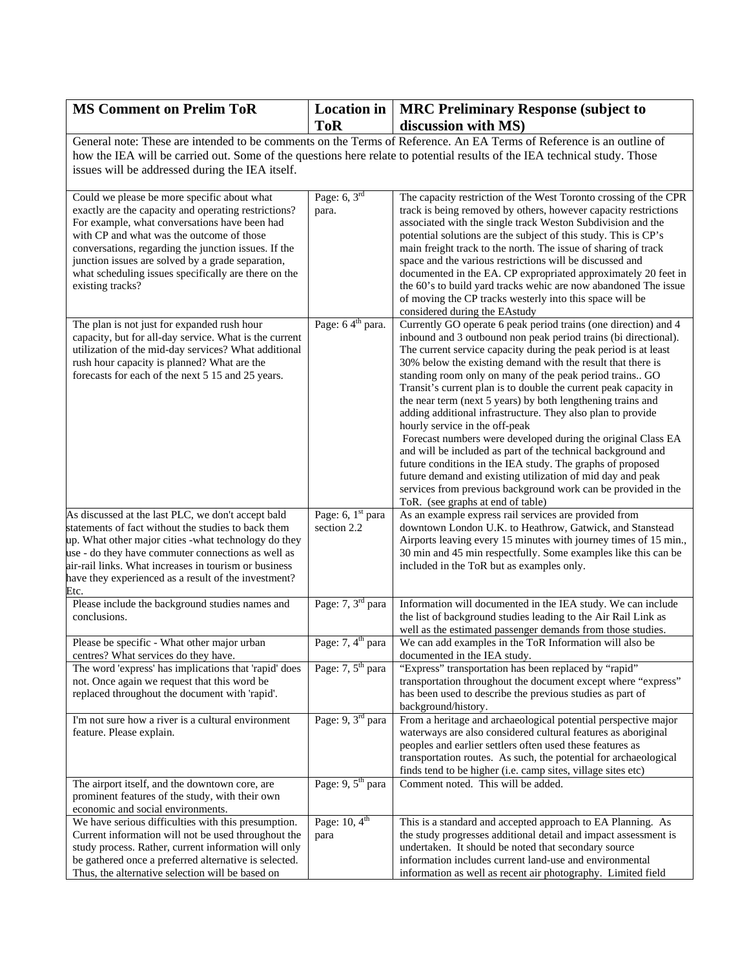| <b>MS Comment on Prelim ToR</b>                                                                                                                                                                                                                                                                                                                                                            | <b>Location</b> in<br><b>ToR</b>   | <b>MRC Preliminary Response (subject to</b><br>discussion with MS)                                                                                                                                                                                                                                                                                                                                                                                                                                                                                                                                                                                                                                                                                                                                                                                                                                                                    |
|--------------------------------------------------------------------------------------------------------------------------------------------------------------------------------------------------------------------------------------------------------------------------------------------------------------------------------------------------------------------------------------------|------------------------------------|---------------------------------------------------------------------------------------------------------------------------------------------------------------------------------------------------------------------------------------------------------------------------------------------------------------------------------------------------------------------------------------------------------------------------------------------------------------------------------------------------------------------------------------------------------------------------------------------------------------------------------------------------------------------------------------------------------------------------------------------------------------------------------------------------------------------------------------------------------------------------------------------------------------------------------------|
|                                                                                                                                                                                                                                                                                                                                                                                            |                                    | General note: These are intended to be comments on the Terms of Reference. An EA Terms of Reference is an outline of                                                                                                                                                                                                                                                                                                                                                                                                                                                                                                                                                                                                                                                                                                                                                                                                                  |
|                                                                                                                                                                                                                                                                                                                                                                                            |                                    | how the IEA will be carried out. Some of the questions here relate to potential results of the IEA technical study. Those                                                                                                                                                                                                                                                                                                                                                                                                                                                                                                                                                                                                                                                                                                                                                                                                             |
| issues will be addressed during the IEA itself.                                                                                                                                                                                                                                                                                                                                            |                                    |                                                                                                                                                                                                                                                                                                                                                                                                                                                                                                                                                                                                                                                                                                                                                                                                                                                                                                                                       |
| Could we please be more specific about what<br>exactly are the capacity and operating restrictions?<br>For example, what conversations have been had<br>with CP and what was the outcome of those<br>conversations, regarding the junction issues. If the<br>junction issues are solved by a grade separation,<br>what scheduling issues specifically are there on the<br>existing tracks? | Page: $6, 3rd$<br>para.            | The capacity restriction of the West Toronto crossing of the CPR<br>track is being removed by others, however capacity restrictions<br>associated with the single track Weston Subdivision and the<br>potential solutions are the subject of this study. This is CP's<br>main freight track to the north. The issue of sharing of track<br>space and the various restrictions will be discussed and<br>documented in the EA. CP expropriated approximately 20 feet in<br>the 60's to build yard tracks wehic are now abandoned The issue<br>of moving the CP tracks westerly into this space will be<br>considered during the EAstudy                                                                                                                                                                                                                                                                                                 |
| The plan is not just for expanded rush hour<br>capacity, but for all-day service. What is the current<br>utilization of the mid-day services? What additional<br>rush hour capacity is planned? What are the<br>forecasts for each of the next 5 15 and 25 years.                                                                                                                          | Page: 64 <sup>th</sup> para.       | Currently GO operate 6 peak period trains (one direction) and 4<br>inbound and 3 outbound non peak period trains (bi directional).<br>The current service capacity during the peak period is at least<br>30% below the existing demand with the result that there is<br>standing room only on many of the peak period trains GO<br>Transit's current plan is to double the current peak capacity in<br>the near term (next 5 years) by both lengthening trains and<br>adding additional infrastructure. They also plan to provide<br>hourly service in the off-peak<br>Forecast numbers were developed during the original Class EA<br>and will be included as part of the technical background and<br>future conditions in the IEA study. The graphs of proposed<br>future demand and existing utilization of mid day and peak<br>services from previous background work can be provided in the<br>ToR. (see graphs at end of table) |
| As discussed at the last PLC, we don't accept bald<br>statements of fact without the studies to back them<br>up. What other major cities -what technology do they<br>use - do they have commuter connections as well as<br>air-rail links. What increases in tourism or business<br>have they experienced as a result of the investment?<br>Etc.                                           | Page: $6, 1st$ para<br>section 2.2 | As an example express rail services are provided from<br>downtown London U.K. to Heathrow, Gatwick, and Stanstead<br>Airports leaving every 15 minutes with journey times of 15 min.,<br>30 min and 45 min respectfully. Some examples like this can be<br>included in the ToR but as examples only.                                                                                                                                                                                                                                                                                                                                                                                                                                                                                                                                                                                                                                  |
| Please include the background studies names and<br>conclusions.                                                                                                                                                                                                                                                                                                                            | Page: 7, 3 <sup>rd</sup> para      | Information will documented in the IEA study. We can include<br>the list of background studies leading to the Air Rail Link as<br>well as the estimated passenger demands from those studies.                                                                                                                                                                                                                                                                                                                                                                                                                                                                                                                                                                                                                                                                                                                                         |
| Please be specific - What other major urban<br>centres? What services do they have.                                                                                                                                                                                                                                                                                                        | Page: 7, 4 <sup>th</sup> para      | We can add examples in the ToR Information will also be<br>documented in the IEA study.                                                                                                                                                                                                                                                                                                                                                                                                                                                                                                                                                                                                                                                                                                                                                                                                                                               |
| The word 'express' has implications that 'rapid' does<br>not. Once again we request that this word be<br>replaced throughout the document with 'rapid'.                                                                                                                                                                                                                                    | Page: $7, 5th$ para                | "Express" transportation has been replaced by "rapid"<br>transportation throughout the document except where "express"<br>has been used to describe the previous studies as part of<br>background/history.                                                                                                                                                                                                                                                                                                                                                                                                                                                                                                                                                                                                                                                                                                                            |
| I'm not sure how a river is a cultural environment<br>feature. Please explain.                                                                                                                                                                                                                                                                                                             | Page: 9, 3 <sup>rd</sup> para      | From a heritage and archaeological potential perspective major<br>waterways are also considered cultural features as aboriginal<br>peoples and earlier settlers often used these features as<br>transportation routes. As such, the potential for archaeological<br>finds tend to be higher (i.e. camp sites, village sites etc)                                                                                                                                                                                                                                                                                                                                                                                                                                                                                                                                                                                                      |
| The airport itself, and the downtown core, are<br>prominent features of the study, with their own<br>economic and social environments.                                                                                                                                                                                                                                                     | Page: 9, 5 <sup>th</sup> para      | Comment noted. This will be added.                                                                                                                                                                                                                                                                                                                                                                                                                                                                                                                                                                                                                                                                                                                                                                                                                                                                                                    |
| We have serious difficulties with this presumption.<br>Current information will not be used throughout the<br>study process. Rather, current information will only<br>be gathered once a preferred alternative is selected.<br>Thus, the alternative selection will be based on                                                                                                            | Page: $10, 4^{\text{th}}$<br>para  | This is a standard and accepted approach to EA Planning. As<br>the study progresses additional detail and impact assessment is<br>undertaken. It should be noted that secondary source<br>information includes current land-use and environmental<br>information as well as recent air photography. Limited field                                                                                                                                                                                                                                                                                                                                                                                                                                                                                                                                                                                                                     |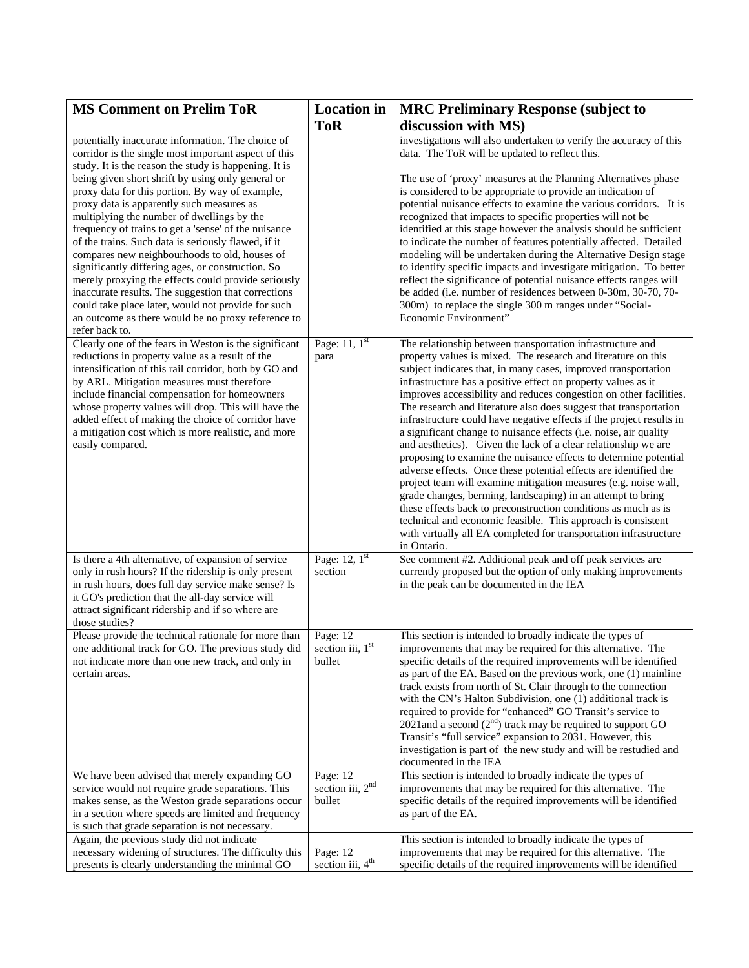| <b>MS Comment on Prelim ToR</b>                                                                                                                                                                                                                                                                                                                                                                                                                                                                                                                                                                                                                                                                                                                                                                                                        | <b>Location</b> in                                 | <b>MRC Preliminary Response (subject to</b>                                                                                                                                                                                                                                                                                                                                                                                                                                                                                                                                                                                                                                                                                                                                                                                                                                                                                                                                                                                                                                                                              |
|----------------------------------------------------------------------------------------------------------------------------------------------------------------------------------------------------------------------------------------------------------------------------------------------------------------------------------------------------------------------------------------------------------------------------------------------------------------------------------------------------------------------------------------------------------------------------------------------------------------------------------------------------------------------------------------------------------------------------------------------------------------------------------------------------------------------------------------|----------------------------------------------------|--------------------------------------------------------------------------------------------------------------------------------------------------------------------------------------------------------------------------------------------------------------------------------------------------------------------------------------------------------------------------------------------------------------------------------------------------------------------------------------------------------------------------------------------------------------------------------------------------------------------------------------------------------------------------------------------------------------------------------------------------------------------------------------------------------------------------------------------------------------------------------------------------------------------------------------------------------------------------------------------------------------------------------------------------------------------------------------------------------------------------|
|                                                                                                                                                                                                                                                                                                                                                                                                                                                                                                                                                                                                                                                                                                                                                                                                                                        | <b>ToR</b>                                         | discussion with MS)                                                                                                                                                                                                                                                                                                                                                                                                                                                                                                                                                                                                                                                                                                                                                                                                                                                                                                                                                                                                                                                                                                      |
| potentially inaccurate information. The choice of<br>corridor is the single most important aspect of this<br>study. It is the reason the study is happening. It is<br>being given short shrift by using only general or<br>proxy data for this portion. By way of example,<br>proxy data is apparently such measures as<br>multiplying the number of dwellings by the<br>frequency of trains to get a 'sense' of the nuisance<br>of the trains. Such data is seriously flawed, if it<br>compares new neighbourhoods to old, houses of<br>significantly differing ages, or construction. So<br>merely proxying the effects could provide seriously<br>inaccurate results. The suggestion that corrections<br>could take place later, would not provide for such<br>an outcome as there would be no proxy reference to<br>refer back to. |                                                    | investigations will also undertaken to verify the accuracy of this<br>data. The ToR will be updated to reflect this.<br>The use of 'proxy' measures at the Planning Alternatives phase<br>is considered to be appropriate to provide an indication of<br>potential nuisance effects to examine the various corridors. It is<br>recognized that impacts to specific properties will not be<br>identified at this stage however the analysis should be sufficient<br>to indicate the number of features potentially affected. Detailed<br>modeling will be undertaken during the Alternative Design stage<br>to identify specific impacts and investigate mitigation. To better<br>reflect the significance of potential nuisance effects ranges will<br>be added (i.e. number of residences between 0-30m, 30-70, 70-<br>300m) to replace the single 300 m ranges under "Social-<br>Economic Environment"                                                                                                                                                                                                                 |
| Clearly one of the fears in Weston is the significant<br>reductions in property value as a result of the<br>intensification of this rail corridor, both by GO and<br>by ARL. Mitigation measures must therefore<br>include financial compensation for homeowners<br>whose property values will drop. This will have the<br>added effect of making the choice of corridor have<br>a mitigation cost which is more realistic, and more<br>easily compared.                                                                                                                                                                                                                                                                                                                                                                               | Page: $11, 1st$<br>para                            | The relationship between transportation infrastructure and<br>property values is mixed. The research and literature on this<br>subject indicates that, in many cases, improved transportation<br>infrastructure has a positive effect on property values as it<br>improves accessibility and reduces congestion on other facilities.<br>The research and literature also does suggest that transportation<br>infrastructure could have negative effects if the project results in<br>a significant change to nuisance effects (i.e. noise, air quality<br>and aesthetics). Given the lack of a clear relationship we are<br>proposing to examine the nuisance effects to determine potential<br>adverse effects. Once these potential effects are identified the<br>project team will examine mitigation measures (e.g. noise wall,<br>grade changes, berming, landscaping) in an attempt to bring<br>these effects back to preconstruction conditions as much as is<br>technical and economic feasible. This approach is consistent<br>with virtually all EA completed for transportation infrastructure<br>in Ontario. |
| Is there a 4th alternative, of expansion of service<br>only in rush hours? If the ridership is only present<br>in rush hours, does full day service make sense? Is<br>it GO's prediction that the all-day service will<br>attract significant ridership and if so where are<br>those studies?                                                                                                                                                                                                                                                                                                                                                                                                                                                                                                                                          | Page: $12$ , $1st$<br>section                      | See comment #2. Additional peak and off peak services are<br>currently proposed but the option of only making improvements<br>in the peak can be documented in the IEA                                                                                                                                                                                                                                                                                                                                                                                                                                                                                                                                                                                                                                                                                                                                                                                                                                                                                                                                                   |
| Please provide the technical rationale for more than<br>one additional track for GO. The previous study did<br>not indicate more than one new track, and only in<br>certain areas.                                                                                                                                                                                                                                                                                                                                                                                                                                                                                                                                                                                                                                                     | Page: 12<br>section iii, $1st$<br>bullet           | This section is intended to broadly indicate the types of<br>improvements that may be required for this alternative. The<br>specific details of the required improvements will be identified<br>as part of the EA. Based on the previous work, one (1) mainline<br>track exists from north of St. Clair through to the connection<br>with the CN's Halton Subdivision, one (1) additional track is<br>required to provide for "enhanced" GO Transit's service to<br>2021and a second $(2nd)$ track may be required to support GO<br>Transit's "full service" expansion to 2031. However, this<br>investigation is part of the new study and will be restudied and<br>documented in the IEA                                                                                                                                                                                                                                                                                                                                                                                                                               |
| We have been advised that merely expanding GO<br>service would not require grade separations. This<br>makes sense, as the Weston grade separations occur<br>in a section where speeds are limited and frequency<br>is such that grade separation is not necessary.                                                                                                                                                                                                                                                                                                                                                                                                                                                                                                                                                                     | Page: 12<br>section iii, 2 <sup>nd</sup><br>bullet | This section is intended to broadly indicate the types of<br>improvements that may be required for this alternative. The<br>specific details of the required improvements will be identified<br>as part of the EA.                                                                                                                                                                                                                                                                                                                                                                                                                                                                                                                                                                                                                                                                                                                                                                                                                                                                                                       |
| Again, the previous study did not indicate<br>necessary widening of structures. The difficulty this<br>presents is clearly understanding the minimal GO                                                                                                                                                                                                                                                                                                                                                                                                                                                                                                                                                                                                                                                                                | Page: 12<br>section iii, 4 <sup>th</sup>           | This section is intended to broadly indicate the types of<br>improvements that may be required for this alternative. The<br>specific details of the required improvements will be identified                                                                                                                                                                                                                                                                                                                                                                                                                                                                                                                                                                                                                                                                                                                                                                                                                                                                                                                             |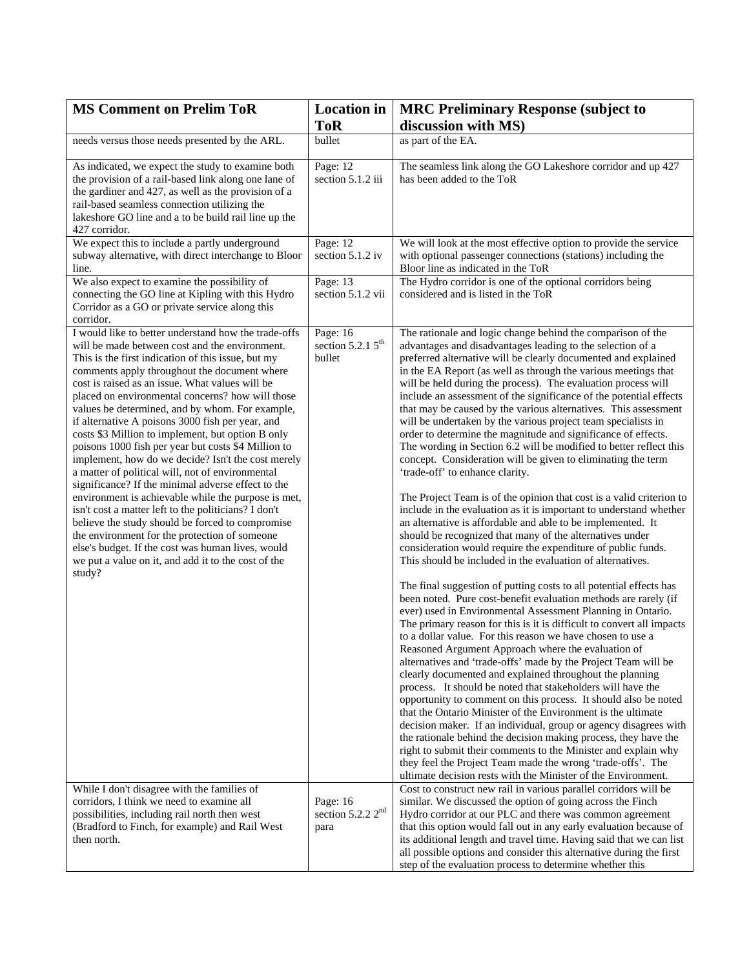| <b>MS Comment on Prelim ToR</b>                                                                                                                                                                                                                                                                                                                                                                                                                                                                                                                                                                                                                                                                                                                                                                                                                                                                                                                                                                                                                  | <b>Location</b> in                                  | <b>MRC Preliminary Response (subject to</b>                                                                                                                                                                                                                                                                                                                                                                                                                                                                                                                                                                                                                                                                                                                                                                                                                                                                                                                                                                                                                                                                                                                                                                                                                                                                                                                                                                                                                                                                                                                                                                                                                                                                                                                                                                                                                                                                                                                                                                                                                                                                                                                                                            |
|--------------------------------------------------------------------------------------------------------------------------------------------------------------------------------------------------------------------------------------------------------------------------------------------------------------------------------------------------------------------------------------------------------------------------------------------------------------------------------------------------------------------------------------------------------------------------------------------------------------------------------------------------------------------------------------------------------------------------------------------------------------------------------------------------------------------------------------------------------------------------------------------------------------------------------------------------------------------------------------------------------------------------------------------------|-----------------------------------------------------|--------------------------------------------------------------------------------------------------------------------------------------------------------------------------------------------------------------------------------------------------------------------------------------------------------------------------------------------------------------------------------------------------------------------------------------------------------------------------------------------------------------------------------------------------------------------------------------------------------------------------------------------------------------------------------------------------------------------------------------------------------------------------------------------------------------------------------------------------------------------------------------------------------------------------------------------------------------------------------------------------------------------------------------------------------------------------------------------------------------------------------------------------------------------------------------------------------------------------------------------------------------------------------------------------------------------------------------------------------------------------------------------------------------------------------------------------------------------------------------------------------------------------------------------------------------------------------------------------------------------------------------------------------------------------------------------------------------------------------------------------------------------------------------------------------------------------------------------------------------------------------------------------------------------------------------------------------------------------------------------------------------------------------------------------------------------------------------------------------------------------------------------------------------------------------------------------------|
|                                                                                                                                                                                                                                                                                                                                                                                                                                                                                                                                                                                                                                                                                                                                                                                                                                                                                                                                                                                                                                                  | <b>ToR</b>                                          | discussion with MS)                                                                                                                                                                                                                                                                                                                                                                                                                                                                                                                                                                                                                                                                                                                                                                                                                                                                                                                                                                                                                                                                                                                                                                                                                                                                                                                                                                                                                                                                                                                                                                                                                                                                                                                                                                                                                                                                                                                                                                                                                                                                                                                                                                                    |
| needs versus those needs presented by the ARL.                                                                                                                                                                                                                                                                                                                                                                                                                                                                                                                                                                                                                                                                                                                                                                                                                                                                                                                                                                                                   | bullet                                              | as part of the EA.                                                                                                                                                                                                                                                                                                                                                                                                                                                                                                                                                                                                                                                                                                                                                                                                                                                                                                                                                                                                                                                                                                                                                                                                                                                                                                                                                                                                                                                                                                                                                                                                                                                                                                                                                                                                                                                                                                                                                                                                                                                                                                                                                                                     |
| As indicated, we expect the study to examine both<br>the provision of a rail-based link along one lane of<br>the gardiner and 427, as well as the provision of a<br>rail-based seamless connection utilizing the<br>lakeshore GO line and a to be build rail line up the<br>427 corridor.                                                                                                                                                                                                                                                                                                                                                                                                                                                                                                                                                                                                                                                                                                                                                        | Page: 12<br>section 5.1.2 iii                       | The seamless link along the GO Lakeshore corridor and up 427<br>has been added to the ToR                                                                                                                                                                                                                                                                                                                                                                                                                                                                                                                                                                                                                                                                                                                                                                                                                                                                                                                                                                                                                                                                                                                                                                                                                                                                                                                                                                                                                                                                                                                                                                                                                                                                                                                                                                                                                                                                                                                                                                                                                                                                                                              |
| We expect this to include a partly underground<br>subway alternative, with direct interchange to Bloor<br>line.                                                                                                                                                                                                                                                                                                                                                                                                                                                                                                                                                                                                                                                                                                                                                                                                                                                                                                                                  | Page: 12<br>section 5.1.2 iv                        | We will look at the most effective option to provide the service<br>with optional passenger connections (stations) including the<br>Bloor line as indicated in the ToR                                                                                                                                                                                                                                                                                                                                                                                                                                                                                                                                                                                                                                                                                                                                                                                                                                                                                                                                                                                                                                                                                                                                                                                                                                                                                                                                                                                                                                                                                                                                                                                                                                                                                                                                                                                                                                                                                                                                                                                                                                 |
| We also expect to examine the possibility of<br>connecting the GO line at Kipling with this Hydro<br>Corridor as a GO or private service along this<br>corridor.                                                                                                                                                                                                                                                                                                                                                                                                                                                                                                                                                                                                                                                                                                                                                                                                                                                                                 | Page: 13<br>section 5.1.2 vii                       | The Hydro corridor is one of the optional corridors being<br>considered and is listed in the ToR                                                                                                                                                                                                                                                                                                                                                                                                                                                                                                                                                                                                                                                                                                                                                                                                                                                                                                                                                                                                                                                                                                                                                                                                                                                                                                                                                                                                                                                                                                                                                                                                                                                                                                                                                                                                                                                                                                                                                                                                                                                                                                       |
| I would like to better understand how the trade-offs<br>will be made between cost and the environment.<br>This is the first indication of this issue, but my<br>comments apply throughout the document where<br>cost is raised as an issue. What values will be<br>placed on environmental concerns? how will those<br>values be determined, and by whom. For example,<br>if alternative A poisons 3000 fish per year, and<br>costs \$3 Million to implement, but option B only<br>poisons 1000 fish per year but costs \$4 Million to<br>implement, how do we decide? Isn't the cost merely<br>a matter of political will, not of environmental<br>significance? If the minimal adverse effect to the<br>environment is achievable while the purpose is met,<br>isn't cost a matter left to the politicians? I don't<br>believe the study should be forced to compromise<br>the environment for the protection of someone<br>else's budget. If the cost was human lives, would<br>we put a value on it, and add it to the cost of the<br>study? | Page: 16<br>section 5.2.1 $5^{\text{th}}$<br>bullet | The rationale and logic change behind the comparison of the<br>advantages and disadvantages leading to the selection of a<br>preferred alternative will be clearly documented and explained<br>in the EA Report (as well as through the various meetings that<br>will be held during the process). The evaluation process will<br>include an assessment of the significance of the potential effects<br>that may be caused by the various alternatives. This assessment<br>will be undertaken by the various project team specialists in<br>order to determine the magnitude and significance of effects.<br>The wording in Section 6.2 will be modified to better reflect this<br>concept. Consideration will be given to eliminating the term<br>'trade-off' to enhance clarity.<br>The Project Team is of the opinion that cost is a valid criterion to<br>include in the evaluation as it is important to understand whether<br>an alternative is affordable and able to be implemented. It<br>should be recognized that many of the alternatives under<br>consideration would require the expenditure of public funds.<br>This should be included in the evaluation of alternatives.<br>The final suggestion of putting costs to all potential effects has<br>been noted. Pure cost-benefit evaluation methods are rarely (if<br>ever) used in Environmental Assessment Planning in Ontario.<br>The primary reason for this is it is difficult to convert all impacts<br>to a dollar value. For this reason we have chosen to use a<br>Reasoned Argument Approach where the evaluation of<br>alternatives and 'trade-offs' made by the Project Team will be<br>clearly documented and explained throughout the planning<br>process. It should be noted that stakeholders will have the<br>opportunity to comment on this process. It should also be noted<br>that the Ontario Minister of the Environment is the ultimate<br>decision maker. If an individual, group or agency disagrees with<br>the rationale behind the decision making process, they have the<br>right to submit their comments to the Minister and explain why<br>they feel the Project Team made the wrong 'trade-offs'. The |
| While I don't disagree with the families of<br>corridors, I think we need to examine all<br>possibilities, including rail north then west<br>(Bradford to Finch, for example) and Rail West<br>then north.                                                                                                                                                                                                                                                                                                                                                                                                                                                                                                                                                                                                                                                                                                                                                                                                                                       | Page: 16<br>section 5.2.2 2 <sup>nd</sup><br>para   | ultimate decision rests with the Minister of the Environment.<br>Cost to construct new rail in various parallel corridors will be<br>similar. We discussed the option of going across the Finch<br>Hydro corridor at our PLC and there was common agreement<br>that this option would fall out in any early evaluation because of<br>its additional length and travel time. Having said that we can list<br>all possible options and consider this alternative during the first<br>step of the evaluation process to determine whether this                                                                                                                                                                                                                                                                                                                                                                                                                                                                                                                                                                                                                                                                                                                                                                                                                                                                                                                                                                                                                                                                                                                                                                                                                                                                                                                                                                                                                                                                                                                                                                                                                                                            |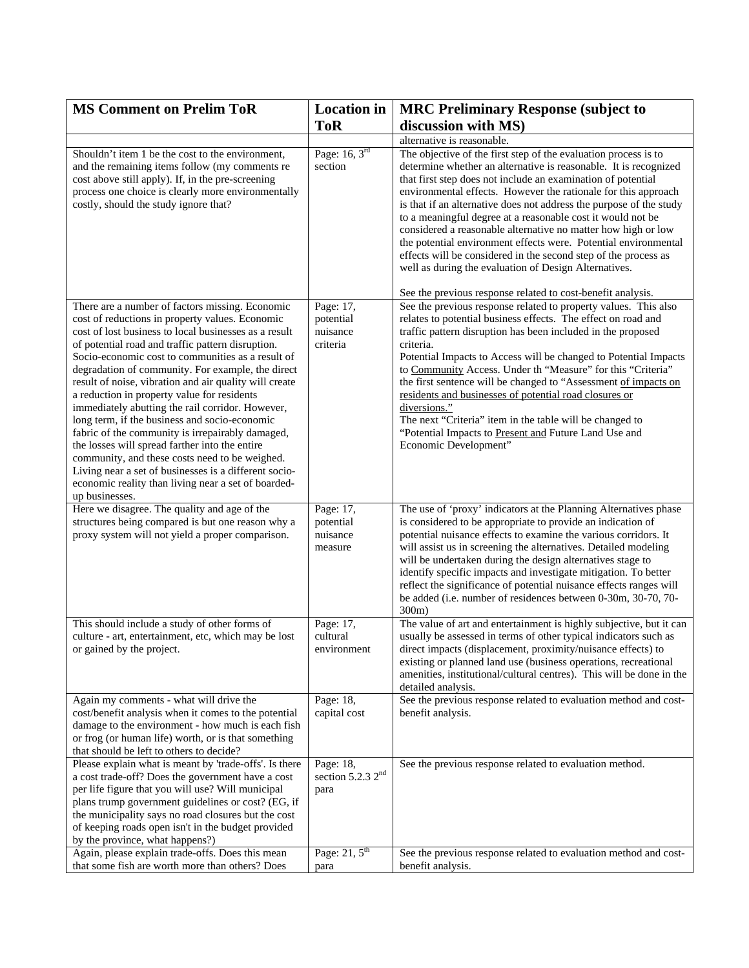| <b>ToR</b><br>discussion with MS)<br>alternative is reasonable.<br>Page: $16, 3rd$<br>The objective of the first step of the evaluation process is to<br>Shouldn't item 1 be the cost to the environment,<br>and the remaining items follow (my comments re<br>section<br>determine whether an alternative is reasonable. It is recognized<br>that first step does not include an examination of potential<br>cost above still apply). If, in the pre-screening<br>process one choice is clearly more environmentally<br>environmental effects. However the rationale for this approach<br>is that if an alternative does not address the purpose of the study<br>costly, should the study ignore that?<br>to a meaningful degree at a reasonable cost it would not be<br>considered a reasonable alternative no matter how high or low<br>the potential environment effects were. Potential environmental<br>effects will be considered in the second step of the process as<br>well as during the evaluation of Design Alternatives.<br>See the previous response related to cost-benefit analysis.<br>There are a number of factors missing. Economic<br>Page: 17,<br>See the previous response related to property values. This also<br>cost of reductions in property values. Economic<br>relates to potential business effects. The effect on road and<br>potential<br>cost of lost business to local businesses as a result<br>nuisance<br>traffic pattern disruption has been included in the proposed<br>of potential road and traffic pattern disruption.<br>criteria<br>criteria.<br>Socio-economic cost to communities as a result of<br>Potential Impacts to Access will be changed to Potential Impacts<br>to Community Access. Under th "Measure" for this "Criteria"<br>degradation of community. For example, the direct<br>the first sentence will be changed to "Assessment of impacts on<br>result of noise, vibration and air quality will create<br>a reduction in property value for residents<br>residents and businesses of potential road closures or<br>diversions."<br>immediately abutting the rail corridor. However,<br>long term, if the business and socio-economic<br>The next "Criteria" item in the table will be changed to<br>fabric of the community is irrepairably damaged,<br>"Potential Impacts to Present and Future Land Use and<br>Economic Development"<br>the losses will spread farther into the entire<br>community, and these costs need to be weighed.<br>Living near a set of businesses is a different socio-<br>economic reality than living near a set of boarded-<br>up businesses.<br>Here we disagree. The quality and age of the<br>Page: 17,<br>The use of 'proxy' indicators at the Planning Alternatives phase<br>structures being compared is but one reason why a<br>is considered to be appropriate to provide an indication of<br>potential<br>proxy system will not yield a proper comparison.<br>nuisance<br>potential nuisance effects to examine the various corridors. It<br>will assist us in screening the alternatives. Detailed modeling<br>measure<br>will be undertaken during the design alternatives stage to<br>identify specific impacts and investigate mitigation. To better<br>reflect the significance of potential nuisance effects ranges will<br>be added (i.e. number of residences between 0-30m, 30-70, 70-<br>300m<br>This should include a study of other forms of<br>Page: 17,<br>The value of art and entertainment is highly subjective, but it can<br>cultural<br>usually be assessed in terms of other typical indicators such as<br>culture - art, entertainment, etc, which may be lost<br>or gained by the project.<br>environment<br>direct impacts (displacement, proximity/nuisance effects) to<br>existing or planned land use (business operations, recreational<br>amenities, institutional/cultural centres). This will be done in the<br>detailed analysis.<br>Page: 18,<br>See the previous response related to evaluation method and cost-<br>Again my comments - what will drive the<br>cost/benefit analysis when it comes to the potential<br>capital cost<br>benefit analysis.<br>damage to the environment - how much is each fish<br>or frog (or human life) worth, or is that something<br>that should be left to others to decide?<br>Please explain what is meant by 'trade-offs'. Is there<br>Page: 18,<br>See the previous response related to evaluation method.<br>section 5.2.3 2 <sup>nd</sup><br>a cost trade-off? Does the government have a cost<br>per life figure that you will use? Will municipal<br>para<br>plans trump government guidelines or cost? (EG, if<br>the municipality says no road closures but the cost<br>of keeping roads open isn't in the budget provided<br>by the province, what happens?)<br>Page: $21, 5$ <sup>th</sup><br>Again, please explain trade-offs. Does this mean<br>See the previous response related to evaluation method and cost- | <b>MS Comment on Prelim ToR</b>                 | <b>Location</b> in | <b>MRC Preliminary Response (subject to</b> |
|--------------------------------------------------------------------------------------------------------------------------------------------------------------------------------------------------------------------------------------------------------------------------------------------------------------------------------------------------------------------------------------------------------------------------------------------------------------------------------------------------------------------------------------------------------------------------------------------------------------------------------------------------------------------------------------------------------------------------------------------------------------------------------------------------------------------------------------------------------------------------------------------------------------------------------------------------------------------------------------------------------------------------------------------------------------------------------------------------------------------------------------------------------------------------------------------------------------------------------------------------------------------------------------------------------------------------------------------------------------------------------------------------------------------------------------------------------------------------------------------------------------------------------------------------------------------------------------------------------------------------------------------------------------------------------------------------------------------------------------------------------------------------------------------------------------------------------------------------------------------------------------------------------------------------------------------------------------------------------------------------------------------------------------------------------------------------------------------------------------------------------------------------------------------------------------------------------------------------------------------------------------------------------------------------------------------------------------------------------------------------------------------------------------------------------------------------------------------------------------------------------------------------------------------------------------------------------------------------------------------------------------------------------------------------------------------------------------------------------------------------------------------------------------------------------------------------------------------------------------------------------------------------------------------------------------------------------------------------------------------------------------------------------------------------------------------------------------------------------------------------------------------------------------------------------------------------------------------------------------------------------------------------------------------------------------------------------------------------------------------------------------------------------------------------------------------------------------------------------------------------------------------------------------------------------------------------------------------------------------------------------------------------------------------------------------------------------------------------------------------------------------------------------------------------------------------------------------------------------------------------------------------------------------------------------------------------------------------------------------------------------------------------------------------------------------------------------------------------------------------------------------------------------------------------------------------------------------------------------------------------------------------------------------------------------------------------------------------------------------------------------------------------------------------------------------------------------------------------------------------------------------------------------------------------------------------------------------------------------------------------------------------------------------------------------------------------------------------------------------------------------------------------------------------------------------------------------------------------------------------------------------------------------------------------------------------------------------------------------------------------------------|-------------------------------------------------|--------------------|---------------------------------------------|
|                                                                                                                                                                                                                                                                                                                                                                                                                                                                                                                                                                                                                                                                                                                                                                                                                                                                                                                                                                                                                                                                                                                                                                                                                                                                                                                                                                                                                                                                                                                                                                                                                                                                                                                                                                                                                                                                                                                                                                                                                                                                                                                                                                                                                                                                                                                                                                                                                                                                                                                                                                                                                                                                                                                                                                                                                                                                                                                                                                                                                                                                                                                                                                                                                                                                                                                                                                                                                                                                                                                                                                                                                                                                                                                                                                                                                                                                                                                                                                                                                                                                                                                                                                                                                                                                                                                                                                                                                                                                                                                                                                                                                                                                                                                                                                                                                                                                                                                                                                                                              |                                                 |                    |                                             |
|                                                                                                                                                                                                                                                                                                                                                                                                                                                                                                                                                                                                                                                                                                                                                                                                                                                                                                                                                                                                                                                                                                                                                                                                                                                                                                                                                                                                                                                                                                                                                                                                                                                                                                                                                                                                                                                                                                                                                                                                                                                                                                                                                                                                                                                                                                                                                                                                                                                                                                                                                                                                                                                                                                                                                                                                                                                                                                                                                                                                                                                                                                                                                                                                                                                                                                                                                                                                                                                                                                                                                                                                                                                                                                                                                                                                                                                                                                                                                                                                                                                                                                                                                                                                                                                                                                                                                                                                                                                                                                                                                                                                                                                                                                                                                                                                                                                                                                                                                                                                              |                                                 |                    |                                             |
|                                                                                                                                                                                                                                                                                                                                                                                                                                                                                                                                                                                                                                                                                                                                                                                                                                                                                                                                                                                                                                                                                                                                                                                                                                                                                                                                                                                                                                                                                                                                                                                                                                                                                                                                                                                                                                                                                                                                                                                                                                                                                                                                                                                                                                                                                                                                                                                                                                                                                                                                                                                                                                                                                                                                                                                                                                                                                                                                                                                                                                                                                                                                                                                                                                                                                                                                                                                                                                                                                                                                                                                                                                                                                                                                                                                                                                                                                                                                                                                                                                                                                                                                                                                                                                                                                                                                                                                                                                                                                                                                                                                                                                                                                                                                                                                                                                                                                                                                                                                                              |                                                 |                    |                                             |
|                                                                                                                                                                                                                                                                                                                                                                                                                                                                                                                                                                                                                                                                                                                                                                                                                                                                                                                                                                                                                                                                                                                                                                                                                                                                                                                                                                                                                                                                                                                                                                                                                                                                                                                                                                                                                                                                                                                                                                                                                                                                                                                                                                                                                                                                                                                                                                                                                                                                                                                                                                                                                                                                                                                                                                                                                                                                                                                                                                                                                                                                                                                                                                                                                                                                                                                                                                                                                                                                                                                                                                                                                                                                                                                                                                                                                                                                                                                                                                                                                                                                                                                                                                                                                                                                                                                                                                                                                                                                                                                                                                                                                                                                                                                                                                                                                                                                                                                                                                                                              |                                                 |                    |                                             |
|                                                                                                                                                                                                                                                                                                                                                                                                                                                                                                                                                                                                                                                                                                                                                                                                                                                                                                                                                                                                                                                                                                                                                                                                                                                                                                                                                                                                                                                                                                                                                                                                                                                                                                                                                                                                                                                                                                                                                                                                                                                                                                                                                                                                                                                                                                                                                                                                                                                                                                                                                                                                                                                                                                                                                                                                                                                                                                                                                                                                                                                                                                                                                                                                                                                                                                                                                                                                                                                                                                                                                                                                                                                                                                                                                                                                                                                                                                                                                                                                                                                                                                                                                                                                                                                                                                                                                                                                                                                                                                                                                                                                                                                                                                                                                                                                                                                                                                                                                                                                              |                                                 |                    |                                             |
|                                                                                                                                                                                                                                                                                                                                                                                                                                                                                                                                                                                                                                                                                                                                                                                                                                                                                                                                                                                                                                                                                                                                                                                                                                                                                                                                                                                                                                                                                                                                                                                                                                                                                                                                                                                                                                                                                                                                                                                                                                                                                                                                                                                                                                                                                                                                                                                                                                                                                                                                                                                                                                                                                                                                                                                                                                                                                                                                                                                                                                                                                                                                                                                                                                                                                                                                                                                                                                                                                                                                                                                                                                                                                                                                                                                                                                                                                                                                                                                                                                                                                                                                                                                                                                                                                                                                                                                                                                                                                                                                                                                                                                                                                                                                                                                                                                                                                                                                                                                                              |                                                 |                    |                                             |
|                                                                                                                                                                                                                                                                                                                                                                                                                                                                                                                                                                                                                                                                                                                                                                                                                                                                                                                                                                                                                                                                                                                                                                                                                                                                                                                                                                                                                                                                                                                                                                                                                                                                                                                                                                                                                                                                                                                                                                                                                                                                                                                                                                                                                                                                                                                                                                                                                                                                                                                                                                                                                                                                                                                                                                                                                                                                                                                                                                                                                                                                                                                                                                                                                                                                                                                                                                                                                                                                                                                                                                                                                                                                                                                                                                                                                                                                                                                                                                                                                                                                                                                                                                                                                                                                                                                                                                                                                                                                                                                                                                                                                                                                                                                                                                                                                                                                                                                                                                                                              |                                                 |                    |                                             |
|                                                                                                                                                                                                                                                                                                                                                                                                                                                                                                                                                                                                                                                                                                                                                                                                                                                                                                                                                                                                                                                                                                                                                                                                                                                                                                                                                                                                                                                                                                                                                                                                                                                                                                                                                                                                                                                                                                                                                                                                                                                                                                                                                                                                                                                                                                                                                                                                                                                                                                                                                                                                                                                                                                                                                                                                                                                                                                                                                                                                                                                                                                                                                                                                                                                                                                                                                                                                                                                                                                                                                                                                                                                                                                                                                                                                                                                                                                                                                                                                                                                                                                                                                                                                                                                                                                                                                                                                                                                                                                                                                                                                                                                                                                                                                                                                                                                                                                                                                                                                              |                                                 |                    |                                             |
|                                                                                                                                                                                                                                                                                                                                                                                                                                                                                                                                                                                                                                                                                                                                                                                                                                                                                                                                                                                                                                                                                                                                                                                                                                                                                                                                                                                                                                                                                                                                                                                                                                                                                                                                                                                                                                                                                                                                                                                                                                                                                                                                                                                                                                                                                                                                                                                                                                                                                                                                                                                                                                                                                                                                                                                                                                                                                                                                                                                                                                                                                                                                                                                                                                                                                                                                                                                                                                                                                                                                                                                                                                                                                                                                                                                                                                                                                                                                                                                                                                                                                                                                                                                                                                                                                                                                                                                                                                                                                                                                                                                                                                                                                                                                                                                                                                                                                                                                                                                                              |                                                 |                    |                                             |
|                                                                                                                                                                                                                                                                                                                                                                                                                                                                                                                                                                                                                                                                                                                                                                                                                                                                                                                                                                                                                                                                                                                                                                                                                                                                                                                                                                                                                                                                                                                                                                                                                                                                                                                                                                                                                                                                                                                                                                                                                                                                                                                                                                                                                                                                                                                                                                                                                                                                                                                                                                                                                                                                                                                                                                                                                                                                                                                                                                                                                                                                                                                                                                                                                                                                                                                                                                                                                                                                                                                                                                                                                                                                                                                                                                                                                                                                                                                                                                                                                                                                                                                                                                                                                                                                                                                                                                                                                                                                                                                                                                                                                                                                                                                                                                                                                                                                                                                                                                                                              |                                                 |                    |                                             |
|                                                                                                                                                                                                                                                                                                                                                                                                                                                                                                                                                                                                                                                                                                                                                                                                                                                                                                                                                                                                                                                                                                                                                                                                                                                                                                                                                                                                                                                                                                                                                                                                                                                                                                                                                                                                                                                                                                                                                                                                                                                                                                                                                                                                                                                                                                                                                                                                                                                                                                                                                                                                                                                                                                                                                                                                                                                                                                                                                                                                                                                                                                                                                                                                                                                                                                                                                                                                                                                                                                                                                                                                                                                                                                                                                                                                                                                                                                                                                                                                                                                                                                                                                                                                                                                                                                                                                                                                                                                                                                                                                                                                                                                                                                                                                                                                                                                                                                                                                                                                              |                                                 |                    |                                             |
|                                                                                                                                                                                                                                                                                                                                                                                                                                                                                                                                                                                                                                                                                                                                                                                                                                                                                                                                                                                                                                                                                                                                                                                                                                                                                                                                                                                                                                                                                                                                                                                                                                                                                                                                                                                                                                                                                                                                                                                                                                                                                                                                                                                                                                                                                                                                                                                                                                                                                                                                                                                                                                                                                                                                                                                                                                                                                                                                                                                                                                                                                                                                                                                                                                                                                                                                                                                                                                                                                                                                                                                                                                                                                                                                                                                                                                                                                                                                                                                                                                                                                                                                                                                                                                                                                                                                                                                                                                                                                                                                                                                                                                                                                                                                                                                                                                                                                                                                                                                                              | that some fish are worth more than others? Does | para               | benefit analysis.                           |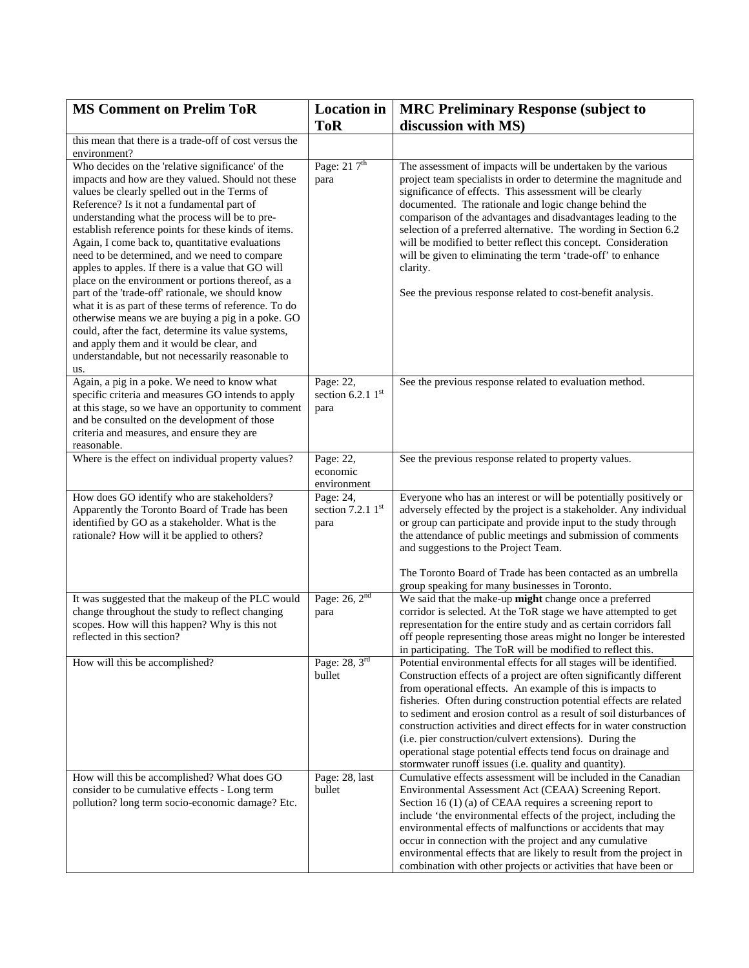| <b>MS Comment on Prelim ToR</b>                                                                                                                                                                                                                                                                                                                                                                                                                                                                                                                                                                                                                                                                                                                                                                                                                                    | <b>Location</b> in                       | <b>MRC Preliminary Response (subject to</b>                                                                                                                                                                                                                                                                                                                                                                                                                                                                                                                                                                        |
|--------------------------------------------------------------------------------------------------------------------------------------------------------------------------------------------------------------------------------------------------------------------------------------------------------------------------------------------------------------------------------------------------------------------------------------------------------------------------------------------------------------------------------------------------------------------------------------------------------------------------------------------------------------------------------------------------------------------------------------------------------------------------------------------------------------------------------------------------------------------|------------------------------------------|--------------------------------------------------------------------------------------------------------------------------------------------------------------------------------------------------------------------------------------------------------------------------------------------------------------------------------------------------------------------------------------------------------------------------------------------------------------------------------------------------------------------------------------------------------------------------------------------------------------------|
|                                                                                                                                                                                                                                                                                                                                                                                                                                                                                                                                                                                                                                                                                                                                                                                                                                                                    | <b>ToR</b>                               | discussion with MS)                                                                                                                                                                                                                                                                                                                                                                                                                                                                                                                                                                                                |
| this mean that there is a trade-off of cost versus the<br>environment?                                                                                                                                                                                                                                                                                                                                                                                                                                                                                                                                                                                                                                                                                                                                                                                             |                                          |                                                                                                                                                                                                                                                                                                                                                                                                                                                                                                                                                                                                                    |
| Who decides on the 'relative significance' of the<br>impacts and how are they valued. Should not these<br>values be clearly spelled out in the Terms of<br>Reference? Is it not a fundamental part of<br>understanding what the process will be to pre-<br>establish reference points for these kinds of items.<br>Again, I come back to, quantitative evaluations<br>need to be determined, and we need to compare<br>apples to apples. If there is a value that GO will<br>place on the environment or portions thereof, as a<br>part of the 'trade-off' rationale, we should know<br>what it is as part of these terms of reference. To do<br>otherwise means we are buying a pig in a poke. GO<br>could, after the fact, determine its value systems,<br>and apply them and it would be clear, and<br>understandable, but not necessarily reasonable to<br>us. | Page: 21 7 <sup>th</sup><br>para         | The assessment of impacts will be undertaken by the various<br>project team specialists in order to determine the magnitude and<br>significance of effects. This assessment will be clearly<br>documented. The rationale and logic change behind the<br>comparison of the advantages and disadvantages leading to the<br>selection of a preferred alternative. The wording in Section 6.2<br>will be modified to better reflect this concept. Consideration<br>will be given to eliminating the term 'trade-off' to enhance<br>clarity.<br>See the previous response related to cost-benefit analysis.             |
| Again, a pig in a poke. We need to know what<br>specific criteria and measures GO intends to apply<br>at this stage, so we have an opportunity to comment<br>and be consulted on the development of those<br>criteria and measures, and ensure they are<br>reasonable.                                                                                                                                                                                                                                                                                                                                                                                                                                                                                                                                                                                             | Page: 22,<br>section 6.2.1 $1st$<br>para | See the previous response related to evaluation method.                                                                                                                                                                                                                                                                                                                                                                                                                                                                                                                                                            |
| Where is the effect on individual property values?                                                                                                                                                                                                                                                                                                                                                                                                                                                                                                                                                                                                                                                                                                                                                                                                                 | Page: 22,<br>economic<br>environment     | See the previous response related to property values.                                                                                                                                                                                                                                                                                                                                                                                                                                                                                                                                                              |
| How does GO identify who are stakeholders?<br>Apparently the Toronto Board of Trade has been<br>identified by GO as a stakeholder. What is the<br>rationale? How will it be applied to others?                                                                                                                                                                                                                                                                                                                                                                                                                                                                                                                                                                                                                                                                     | Page: 24,<br>section 7.2.1 1st<br>para   | Everyone who has an interest or will be potentially positively or<br>adversely effected by the project is a stakeholder. Any individual<br>or group can participate and provide input to the study through<br>the attendance of public meetings and submission of comments<br>and suggestions to the Project Team.                                                                                                                                                                                                                                                                                                 |
|                                                                                                                                                                                                                                                                                                                                                                                                                                                                                                                                                                                                                                                                                                                                                                                                                                                                    |                                          | The Toronto Board of Trade has been contacted as an umbrella<br>group speaking for many businesses in Toronto.                                                                                                                                                                                                                                                                                                                                                                                                                                                                                                     |
| It was suggested that the makeup of the PLC would<br>change throughout the study to reflect changing<br>scopes. How will this happen? Why is this not<br>reflected in this section?                                                                                                                                                                                                                                                                                                                                                                                                                                                                                                                                                                                                                                                                                | Page: $26, 2nd$<br>para                  | We said that the make-up might change once a preferred<br>corridor is selected. At the ToR stage we have attempted to get<br>representation for the entire study and as certain corridors fall<br>off people representing those areas might no longer be interested<br>in participating. The ToR will be modified to reflect this.                                                                                                                                                                                                                                                                                 |
| How will this be accomplished?                                                                                                                                                                                                                                                                                                                                                                                                                                                                                                                                                                                                                                                                                                                                                                                                                                     | Page: 28, 3rd<br>bullet                  | Potential environmental effects for all stages will be identified.<br>Construction effects of a project are often significantly different<br>from operational effects. An example of this is impacts to<br>fisheries. Often during construction potential effects are related<br>to sediment and erosion control as a result of soil disturbances of<br>construction activities and direct effects for in water construction<br>(i.e. pier construction/culvert extensions). During the<br>operational stage potential effects tend focus on drainage and<br>stormwater runoff issues (i.e. quality and quantity). |
| How will this be accomplished? What does GO<br>consider to be cumulative effects - Long term<br>pollution? long term socio-economic damage? Etc.                                                                                                                                                                                                                                                                                                                                                                                                                                                                                                                                                                                                                                                                                                                   | Page: 28, last<br>bullet                 | Cumulative effects assessment will be included in the Canadian<br>Environmental Assessment Act (CEAA) Screening Report.<br>Section 16 $(1)$ (a) of CEAA requires a screening report to<br>include 'the environmental effects of the project, including the<br>environmental effects of malfunctions or accidents that may<br>occur in connection with the project and any cumulative<br>environmental effects that are likely to result from the project in<br>combination with other projects or activities that have been or                                                                                     |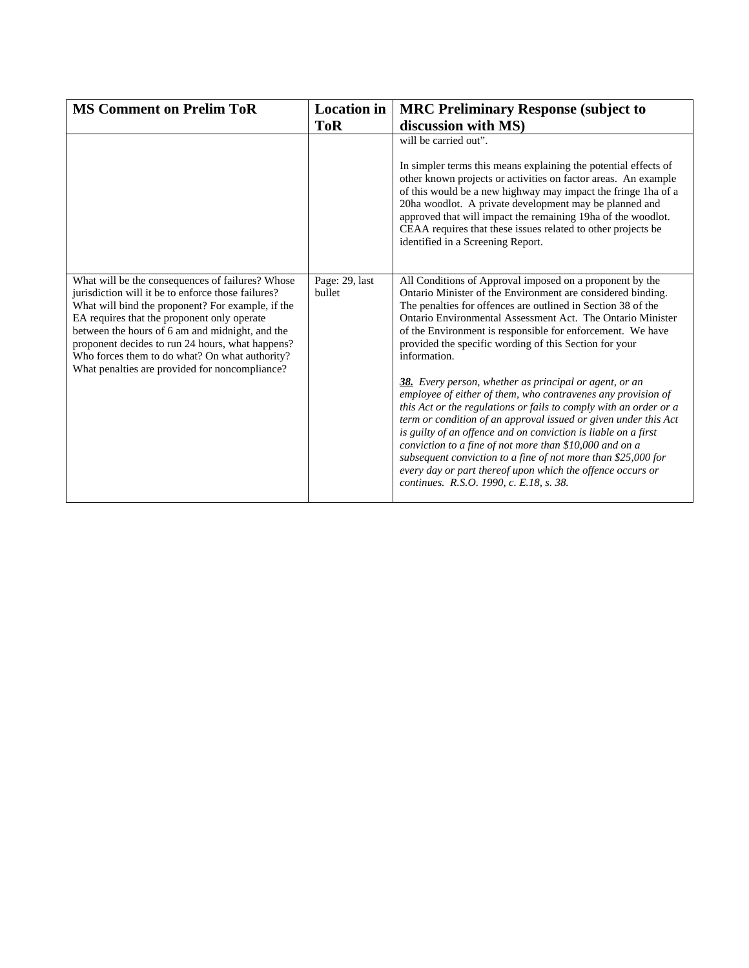| <b>MS Comment on Prelim ToR</b>                                                                                                                                                                                                                                                                                                                                                                                       | <b>Location</b> in       | <b>MRC Preliminary Response (subject to</b>                                                                                                                                                                                                                                                                                                                                                                                                                                                                                                                                                                                                                                                                                                                                                                                                                                                                                                                            |
|-----------------------------------------------------------------------------------------------------------------------------------------------------------------------------------------------------------------------------------------------------------------------------------------------------------------------------------------------------------------------------------------------------------------------|--------------------------|------------------------------------------------------------------------------------------------------------------------------------------------------------------------------------------------------------------------------------------------------------------------------------------------------------------------------------------------------------------------------------------------------------------------------------------------------------------------------------------------------------------------------------------------------------------------------------------------------------------------------------------------------------------------------------------------------------------------------------------------------------------------------------------------------------------------------------------------------------------------------------------------------------------------------------------------------------------------|
|                                                                                                                                                                                                                                                                                                                                                                                                                       | <b>ToR</b>               | discussion with MS)                                                                                                                                                                                                                                                                                                                                                                                                                                                                                                                                                                                                                                                                                                                                                                                                                                                                                                                                                    |
|                                                                                                                                                                                                                                                                                                                                                                                                                       |                          | will be carried out".<br>In simpler terms this means explaining the potential effects of<br>other known projects or activities on factor areas. An example<br>of this would be a new highway may impact the fringe 1ha of a<br>20ha woodlot. A private development may be planned and<br>approved that will impact the remaining 19ha of the woodlot.<br>CEAA requires that these issues related to other projects be<br>identified in a Screening Report.                                                                                                                                                                                                                                                                                                                                                                                                                                                                                                             |
| What will be the consequences of failures? Whose<br>jurisdiction will it be to enforce those failures?<br>What will bind the proponent? For example, if the<br>EA requires that the proponent only operate<br>between the hours of 6 am and midnight, and the<br>proponent decides to run 24 hours, what happens?<br>Who forces them to do what? On what authority?<br>What penalties are provided for noncompliance? | Page: 29, last<br>bullet | All Conditions of Approval imposed on a proponent by the<br>Ontario Minister of the Environment are considered binding.<br>The penalties for offences are outlined in Section 38 of the<br>Ontario Environmental Assessment Act. The Ontario Minister<br>of the Environment is responsible for enforcement. We have<br>provided the specific wording of this Section for your<br>information.<br>38. Every person, whether as principal or agent, or an<br>employee of either of them, who contravenes any provision of<br>this Act or the regulations or fails to comply with an order or a<br>term or condition of an approval issued or given under this Act<br>is guilty of an offence and on conviction is liable on a first<br>conviction to a fine of not more than \$10,000 and on a<br>subsequent conviction to a fine of not more than \$25,000 for<br>every day or part thereof upon which the offence occurs or<br>continues. R.S.O. 1990, c. E.18, s. 38. |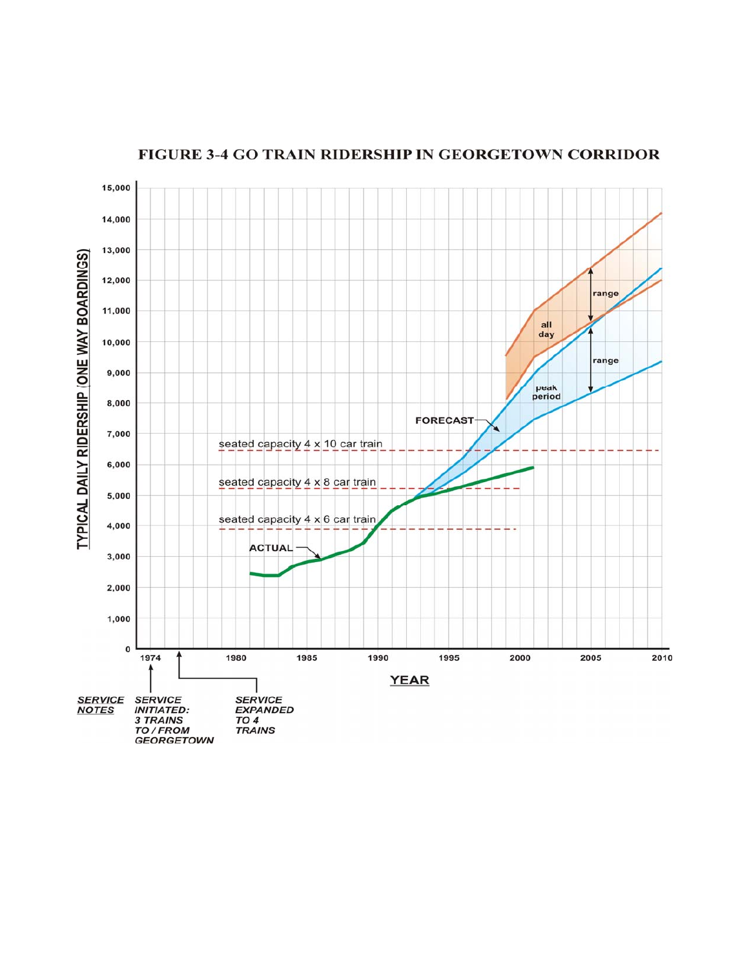

## FIGURE 3-4 GO TRAIN RIDERSHIP IN GEORGETOWN CORRIDOR